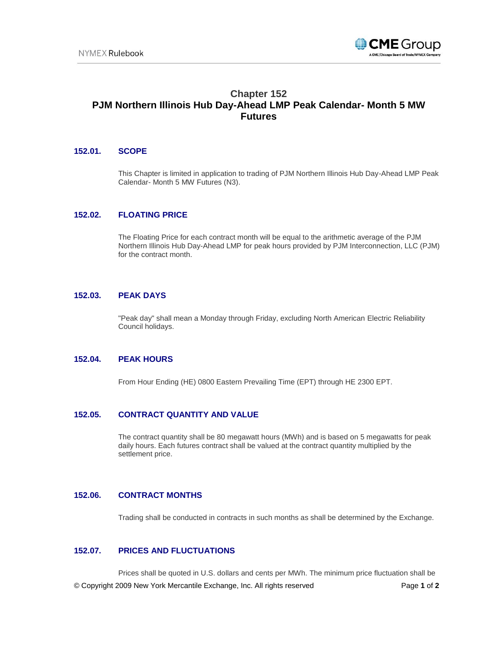

# **Chapter 152 PJM Northern Illinois Hub Day-Ahead LMP Peak Calendar- Month 5 MW Futures**

## **152.01. SCOPE**

This Chapter is limited in application to trading of PJM Northern Illinois Hub Day-Ahead LMP Peak Calendar- Month 5 MW Futures (N3).

## **152.02. FLOATING PRICE**

The Floating Price for each contract month will be equal to the arithmetic average of the PJM Northern Illinois Hub Day-Ahead LMP for peak hours provided by PJM Interconnection, LLC (PJM) for the contract month.

## **152.03. PEAK DAYS**

"Peak day" shall mean a Monday through Friday, excluding North American Electric Reliability Council holidays.

# **152.04. PEAK HOURS**

From Hour Ending (HE) 0800 Eastern Prevailing Time (EPT) through HE 2300 EPT.

#### **152.05. CONTRACT QUANTITY AND VALUE**

The contract quantity shall be 80 megawatt hours (MWh) and is based on 5 megawatts for peak daily hours. Each futures contract shall be valued at the contract quantity multiplied by the settlement price.

## **152.06. CONTRACT MONTHS**

Trading shall be conducted in contracts in such months as shall be determined by the Exchange.

## **152.07. PRICES AND FLUCTUATIONS**

© Copyright 2009 New York Mercantile Exchange, Inc. All rights reserved Page **1** of **2** Prices shall be quoted in U.S. dollars and cents per MWh. The minimum price fluctuation shall be